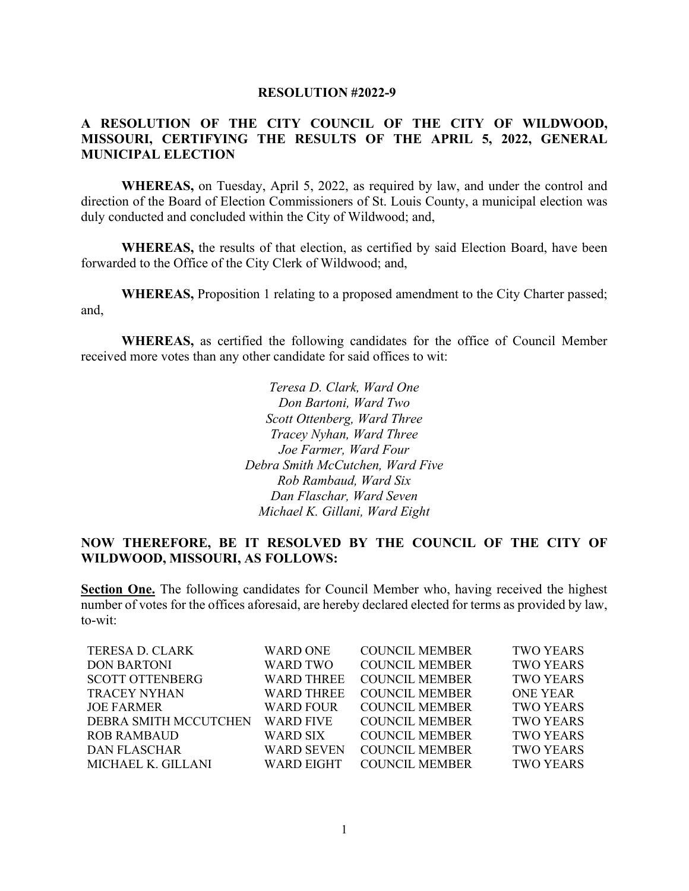## **RESOLUTION #2022-9**

## **A RESOLUTION OF THE CITY COUNCIL OF THE CITY OF WILDWOOD, MISSOURI, CERTIFYING THE RESULTS OF THE APRIL 5, 2022, GENERAL MUNICIPAL ELECTION**

**WHEREAS,** on Tuesday, April 5, 2022, as required by law, and under the control and direction of the Board of Election Commissioners of St. Louis County, a municipal election was duly conducted and concluded within the City of Wildwood; and,

**WHEREAS,** the results of that election, as certified by said Election Board, have been forwarded to the Office of the City Clerk of Wildwood; and,

**WHEREAS,** Proposition 1 relating to a proposed amendment to the City Charter passed; and,

**WHEREAS,** as certified the following candidates for the office of Council Member received more votes than any other candidate for said offices to wit:

> *Teresa D. Clark, Ward One Don Bartoni, Ward Two Scott Ottenberg, Ward Three Tracey Nyhan, Ward Three Joe Farmer, Ward Four Debra Smith McCutchen, Ward Five Rob Rambaud, Ward Six Dan Flaschar, Ward Seven Michael K. Gillani, Ward Eight*

## **NOW THEREFORE, BE IT RESOLVED BY THE COUNCIL OF THE CITY OF WILDWOOD, MISSOURI, AS FOLLOWS:**

**Section One.** The following candidates for Council Member who, having received the highest number of votes for the offices aforesaid, are hereby declared elected for terms as provided by law, to-wit:

| <b>TERESA D. CLARK</b> | <b>WARD ONE</b>   | <b>COUNCIL MEMBER</b> | <b>TWO YEARS</b> |
|------------------------|-------------------|-----------------------|------------------|
| <b>DON BARTONI</b>     | WARD TWO          | <b>COUNCIL MEMBER</b> | <b>TWO YEARS</b> |
| <b>SCOTT OTTENBERG</b> | <b>WARD THREE</b> | <b>COUNCIL MEMBER</b> | <b>TWO YEARS</b> |
| <b>TRACEY NYHAN</b>    | <b>WARD THREE</b> | <b>COUNCIL MEMBER</b> | <b>ONE YEAR</b>  |
| <b>JOE FARMER</b>      | <b>WARD FOUR</b>  | <b>COUNCIL MEMBER</b> | <b>TWO YEARS</b> |
| DEBRA SMITH MCCUTCHEN  | <b>WARD FIVE</b>  | <b>COUNCIL MEMBER</b> | <b>TWO YEARS</b> |
| <b>ROB RAMBAUD</b>     | WARD SIX          | <b>COUNCIL MEMBER</b> | <b>TWO YEARS</b> |
| <b>DAN FLASCHAR</b>    | <b>WARD SEVEN</b> | <b>COUNCIL MEMBER</b> | <b>TWO YEARS</b> |
| MICHAEL K. GILLANI     | WARD EIGHT        | <b>COUNCIL MEMBER</b> | <b>TWO YEARS</b> |